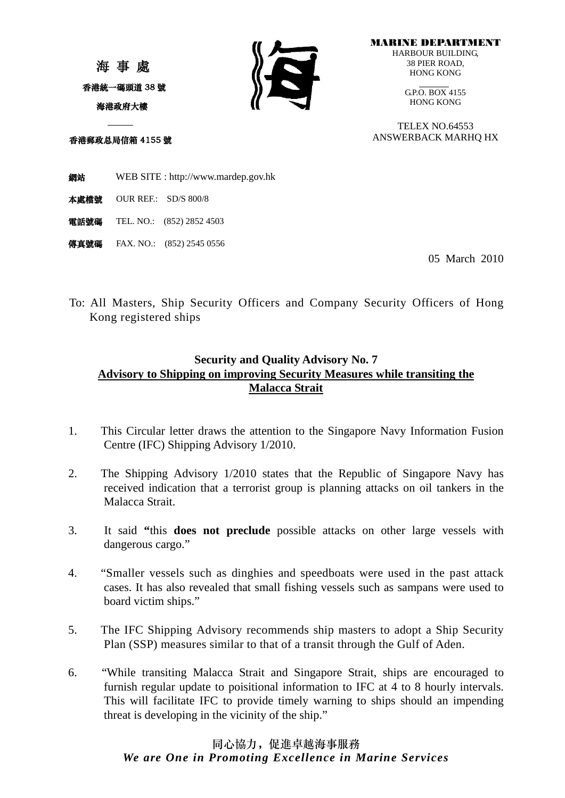海 事 處 香港統一碼頭道 38 號 海港政府大樓



MARINE DEPARTMENT HARBOUR BUILDING, 38 PIER ROAD, HONG KONG

> GP.O. BOX 4155 HONG KONG

TELEX NO.64553 ANSWERBACK MARHQ HX

香港郵政总局信箱 4155 號

網站 WEB SITE : [http://www.mardep.gov.hk](http://www.mardep.gov.hk/)

- 本處檔號 OUR REF.: SD/S 800/8
- 電話號碼 TEL. NO.: (852) 2852 4503
- **傳真號碼** FAX. NO.: (852) 2545 0556

05 March 2010

To: All Masters, Ship Security Officers and Company Security Officers of Hong Kong registered ships

## **Security and Quality Advisory No. 7 Advisory to Shipping on improving Security Measures while transiting the Malacca Strait**

- 1. This Circular letter draws the attention to the Singapore Navy Information Fusion Centre (IFC) Shipping Advisory 1/2010.
- 2. The Shipping Advisory 1/2010 states that the Republic of Singapore Navy has received indication that a terrorist group is planning attacks on oil tankers in the Malacca Strait.
- 3. It said **"**this **does not preclude** possible attacks on other large vessels with dangerous cargo."
- 4. "Smaller vessels such as dinghies and speedboats were used in the past attack cases. It has also revealed that small fishing vessels such as sampans were used to board victim ships."
- 5. The IFC Shipping Advisory recommends ship masters to adopt a Ship Security Plan (SSP) measures similar to that of a transit through the Gulf of Aden.
- 6. "While transiting Malacca Strait and Singapore Strait, ships are encouraged to furnish regular update to poisitional information to IFC at 4 to 8 hourly intervals. This will facilitate IFC to provide timely warning to ships should an impending threat is developing in the vicinity of the ship."

## 同心協力,促進卓越海事服務 *We are One in Promoting Excellence in Marine Services*